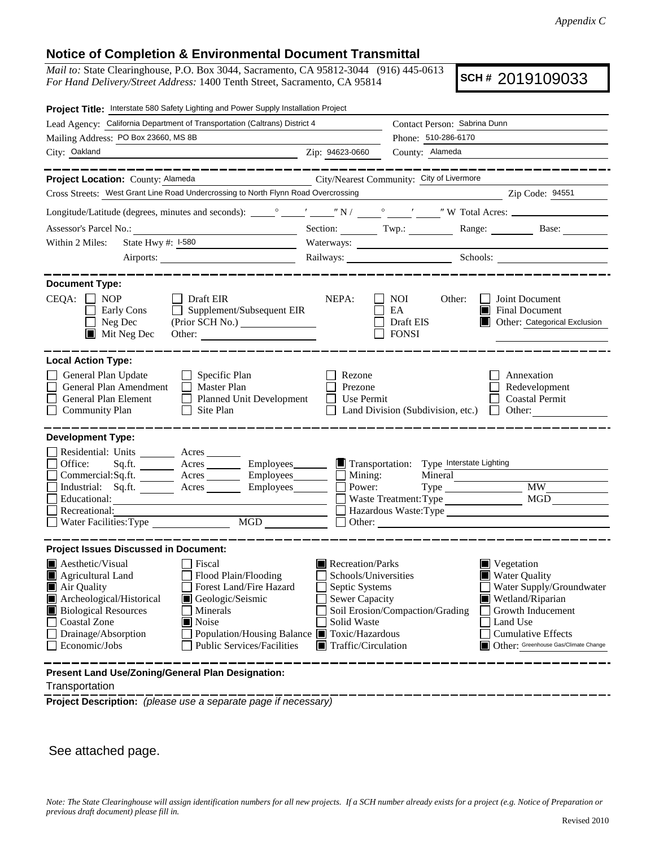## **Notice of Completion & Environmental Document Transmittal**

*Mail to:* State Clearinghouse, P.O. Box 3044, Sacramento, CA 95812-3044 (916) 445-0613 *For Hand Delivery/Street Address:* 1400 Tenth Street, Sacramento, CA 95814

**SCH #** 2019109033

| Project Title: Interstate 580 Safety Lighting and Power Supply Installation Project                                                                                                                                                                                                                                                                                                     |                                                 |                                                                                                                                                                                                                                                                                                                                                                  |                                                                          |
|-----------------------------------------------------------------------------------------------------------------------------------------------------------------------------------------------------------------------------------------------------------------------------------------------------------------------------------------------------------------------------------------|-------------------------------------------------|------------------------------------------------------------------------------------------------------------------------------------------------------------------------------------------------------------------------------------------------------------------------------------------------------------------------------------------------------------------|--------------------------------------------------------------------------|
| Lead Agency: California Department of Transportation (Caltrans) District 4                                                                                                                                                                                                                                                                                                              | Contact Person: Sabrina Dunn                    |                                                                                                                                                                                                                                                                                                                                                                  |                                                                          |
| Mailing Address: PO Box 23660, MS 8B                                                                                                                                                                                                                                                                                                                                                    |                                                 | Phone: 510-286-6170                                                                                                                                                                                                                                                                                                                                              |                                                                          |
| City: Oakland                                                                                                                                                                                                                                                                                                                                                                           | Zip: 94623-0660                                 | County: Alameda                                                                                                                                                                                                                                                                                                                                                  |                                                                          |
| ____________                                                                                                                                                                                                                                                                                                                                                                            |                                                 |                                                                                                                                                                                                                                                                                                                                                                  |                                                                          |
| Project Location: County: Alameda                                                                                                                                                                                                                                                                                                                                                       | City/Nearest Community: City of Livermore       |                                                                                                                                                                                                                                                                                                                                                                  |                                                                          |
| Cross Streets: West Grant Line Road Undercrossing to North Flynn Road Overcrossing                                                                                                                                                                                                                                                                                                      |                                                 |                                                                                                                                                                                                                                                                                                                                                                  | Zip Code: 94551                                                          |
|                                                                                                                                                                                                                                                                                                                                                                                         |                                                 |                                                                                                                                                                                                                                                                                                                                                                  |                                                                          |
|                                                                                                                                                                                                                                                                                                                                                                                         |                                                 |                                                                                                                                                                                                                                                                                                                                                                  | Section: Twp.: Range: Base: Base:                                        |
| State Hwy #: 1-580<br>Within 2 Miles:<br><u> 1990 - Jan James James Barbara, politik eta politik eta politik eta politik eta politik eta politik eta poli</u>                                                                                                                                                                                                                           |                                                 |                                                                                                                                                                                                                                                                                                                                                                  |                                                                          |
|                                                                                                                                                                                                                                                                                                                                                                                         |                                                 | Railways: Schools: Schools: Charles and Schools: Charles and Schools: Charles and Schools: Charles and Schools: Charles and Schools: Charles and Schools: Charles and Schools: Charles and Schools: Charles and Schools: Charl                                                                                                                                   |                                                                          |
|                                                                                                                                                                                                                                                                                                                                                                                         |                                                 |                                                                                                                                                                                                                                                                                                                                                                  |                                                                          |
| <b>Document Type:</b><br>$CEQA: \Box NP$<br>Draft EIR<br>Early Cons<br>$\Box$ Supplement/Subsequent EIR<br>$\Box$ Neg Dec<br>(Prior SCH No.)<br>$\blacksquare$ Mit Neg Dec                                                                                                                                                                                                              | NEPA:                                           | NOI<br>Other:<br>EA<br>Draft EIS<br>$\Box$ FONSI                                                                                                                                                                                                                                                                                                                 | Joint Document<br>Final Document<br>Other: Categorical Exclusion<br>II I |
| <b>Local Action Type:</b><br>General Plan Update<br>$\Box$ Specific Plan<br>General Plan Amendment<br>$\Box$ Master Plan<br>General Plan Element<br>Planned Unit Development<br><b>Community Plan</b><br>Site Plan<br>⊔                                                                                                                                                                 | Rezone<br>Prezone<br>Use Permit<br>$\mathsf{L}$ | Land Division (Subdivision, etc.)                                                                                                                                                                                                                                                                                                                                | Annexation<br>Redevelopment<br><b>Coastal Permit</b><br>$\Box$ Other:    |
| <b>Development Type:</b><br>Residential: Units ________ Acres _______<br>Acres __________ Employees________<br>Office:<br>Sq.ft.<br>Commercial:Sq.ft. ________ Acres _________ Employees_______<br>Industrial: Sq.ft. _______ Acres _______ Employees_______<br>Educational:<br>Recreational:<br>Water Facilities: Type                                                                 | Mining:<br>Power:                               | Transportation: Type Interstate Lighting<br>Mineral<br>$Type \_\_$<br>Waste Treatment: Type<br>$\Box$ Other: $\Box$                                                                                                                                                                                                                                              | <b>MW</b><br>MGD<br>Hazardous Waste: Type                                |
| <b>Project Issues Discussed in Document:</b>                                                                                                                                                                                                                                                                                                                                            |                                                 |                                                                                                                                                                                                                                                                                                                                                                  |                                                                          |
| $\blacksquare$ Aesthetic/Visual<br>Fiscal<br>Agricultural Land<br>Flood Plain/Flooding<br>Air Quality<br>Forest Land/Fire Hazard<br>Archeological/Historical<br>Geologic/Seismic<br>IШ<br><b>Biological Resources</b><br>Minerals<br>Coastal Zone<br>Noise<br>Drainage/Absorption<br>Population/Housing Balance ■ Toxic/Hazardous<br><b>Public Services/Facilities</b><br>Economic/Jobs | Solid Waste                                     | $\blacksquare$ Recreation/Parks<br>Vegetation<br>Schools/Universities<br><b>Water Quality</b><br>Septic Systems<br>Water Supply/Groundwater<br>Sewer Capacity<br>Wetland/Riparian<br>Growth Inducement<br>Soil Erosion/Compaction/Grading<br>Land Use<br><b>Cumulative Effects</b><br>Other: Greenhouse Gas/Climate Change<br>$\blacksquare$ Traffic/Circulation |                                                                          |
| Present Land Use/Zoning/General Plan Designation:                                                                                                                                                                                                                                                                                                                                       |                                                 |                                                                                                                                                                                                                                                                                                                                                                  |                                                                          |

Transportation

**Project Description:** *(please use a separate page if necessary)*

See attached page.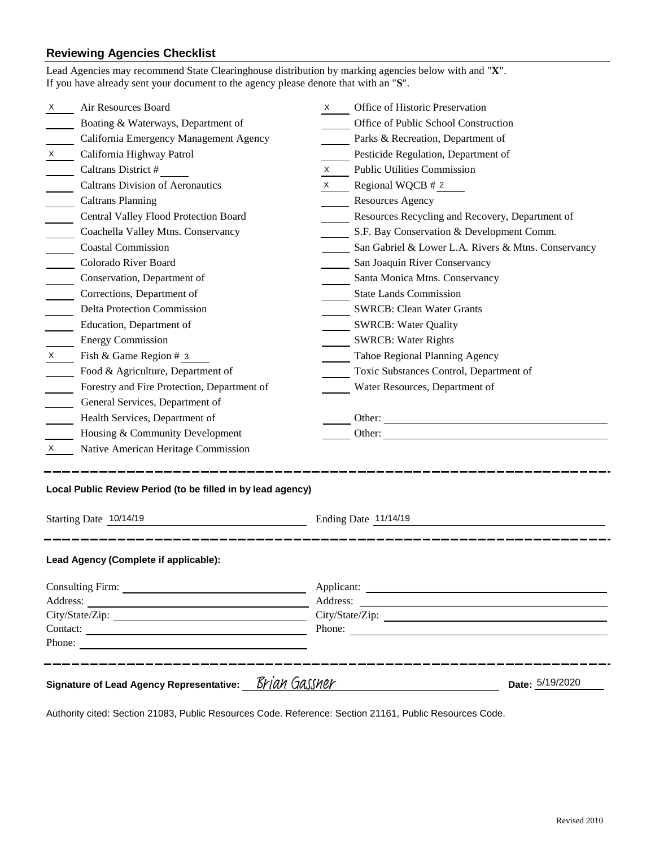## **Reviewing Agencies Checklist**<br>Lead Agencies may recommend State Cl

|                                                                                                                | Lead Agencies may recommend State Clearinghouse distribution by marking agencies below with and "X".<br>If you have already sent your document to the agency please denote that with an "S". |                                                                                                                                                                                                                                |                                                     |  |  |
|----------------------------------------------------------------------------------------------------------------|----------------------------------------------------------------------------------------------------------------------------------------------------------------------------------------------|--------------------------------------------------------------------------------------------------------------------------------------------------------------------------------------------------------------------------------|-----------------------------------------------------|--|--|
| X                                                                                                              | Air Resources Board                                                                                                                                                                          | X and the set of the set of the set of the set of the set of the set of the set of the set of the set of the set of the set of the set of the set of the set of the set of the set of the set of the set of the set of the set | Office of Historic Preservation                     |  |  |
|                                                                                                                | Boating & Waterways, Department of                                                                                                                                                           |                                                                                                                                                                                                                                | Office of Public School Construction                |  |  |
|                                                                                                                | California Emergency Management Agency                                                                                                                                                       |                                                                                                                                                                                                                                | Parks & Recreation, Department of                   |  |  |
| X                                                                                                              | California Highway Patrol                                                                                                                                                                    |                                                                                                                                                                                                                                | Pesticide Regulation, Department of                 |  |  |
|                                                                                                                | Caltrans District #                                                                                                                                                                          | $X \sim$                                                                                                                                                                                                                       | <b>Public Utilities Commission</b>                  |  |  |
|                                                                                                                | <b>Caltrans Division of Aeronautics</b>                                                                                                                                                      |                                                                                                                                                                                                                                | $X \qquad$ Regional WQCB # 2                        |  |  |
|                                                                                                                | <b>Caltrans Planning</b>                                                                                                                                                                     |                                                                                                                                                                                                                                | <b>Resources Agency</b>                             |  |  |
|                                                                                                                | Central Valley Flood Protection Board                                                                                                                                                        |                                                                                                                                                                                                                                | Resources Recycling and Recovery, Department of     |  |  |
|                                                                                                                | Coachella Valley Mtns. Conservancy                                                                                                                                                           |                                                                                                                                                                                                                                | S.F. Bay Conservation & Development Comm.           |  |  |
|                                                                                                                | <b>Coastal Commission</b>                                                                                                                                                                    |                                                                                                                                                                                                                                | San Gabriel & Lower L.A. Rivers & Mtns. Conservancy |  |  |
|                                                                                                                | Colorado River Board                                                                                                                                                                         |                                                                                                                                                                                                                                | San Joaquin River Conservancy                       |  |  |
|                                                                                                                | Conservation, Department of                                                                                                                                                                  |                                                                                                                                                                                                                                | Santa Monica Mtns. Conservancy                      |  |  |
|                                                                                                                | Corrections, Department of                                                                                                                                                                   |                                                                                                                                                                                                                                | <b>State Lands Commission</b>                       |  |  |
|                                                                                                                | <b>Delta Protection Commission</b>                                                                                                                                                           |                                                                                                                                                                                                                                | <b>SWRCB: Clean Water Grants</b>                    |  |  |
|                                                                                                                | Education, Department of                                                                                                                                                                     |                                                                                                                                                                                                                                | <b>SWRCB: Water Quality</b>                         |  |  |
|                                                                                                                | <b>Energy Commission</b>                                                                                                                                                                     |                                                                                                                                                                                                                                | <b>SWRCB: Water Rights</b>                          |  |  |
| X —                                                                                                            | Fish & Game Region # 3                                                                                                                                                                       |                                                                                                                                                                                                                                | Tahoe Regional Planning Agency                      |  |  |
|                                                                                                                | Food & Agriculture, Department of                                                                                                                                                            |                                                                                                                                                                                                                                | Toxic Substances Control, Department of             |  |  |
|                                                                                                                | Forestry and Fire Protection, Department of                                                                                                                                                  |                                                                                                                                                                                                                                | Water Resources, Department of                      |  |  |
|                                                                                                                | General Services, Department of                                                                                                                                                              |                                                                                                                                                                                                                                |                                                     |  |  |
|                                                                                                                | Health Services, Department of                                                                                                                                                               |                                                                                                                                                                                                                                | Other:                                              |  |  |
|                                                                                                                | Housing & Community Development                                                                                                                                                              |                                                                                                                                                                                                                                |                                                     |  |  |
| X.                                                                                                             | Native American Heritage Commission                                                                                                                                                          |                                                                                                                                                                                                                                |                                                     |  |  |
| Local Public Review Period (to be filled in by lead agency)                                                    |                                                                                                                                                                                              |                                                                                                                                                                                                                                |                                                     |  |  |
| Starting Date 10/14/19                                                                                         |                                                                                                                                                                                              |                                                                                                                                                                                                                                | Ending Date 11/14/19                                |  |  |
|                                                                                                                | Lead Agency (Complete if applicable):                                                                                                                                                        |                                                                                                                                                                                                                                |                                                     |  |  |
|                                                                                                                |                                                                                                                                                                                              |                                                                                                                                                                                                                                |                                                     |  |  |
|                                                                                                                |                                                                                                                                                                                              |                                                                                                                                                                                                                                |                                                     |  |  |
|                                                                                                                |                                                                                                                                                                                              |                                                                                                                                                                                                                                |                                                     |  |  |
|                                                                                                                | Contact:                                                                                                                                                                                     |                                                                                                                                                                                                                                | Phone:                                              |  |  |
|                                                                                                                | Phone:                                                                                                                                                                                       |                                                                                                                                                                                                                                |                                                     |  |  |
| . _ _ _ _ _ _ _ _ _ _ _ _ _ _ _ _<br>Signature of Lead Agency Representative: Brian Gassner<br>Date: 5/19/2020 |                                                                                                                                                                                              |                                                                                                                                                                                                                                |                                                     |  |  |

Authority cited: Section 21083, Public Resources Code. Reference: Section 21161, Public Resources Code.